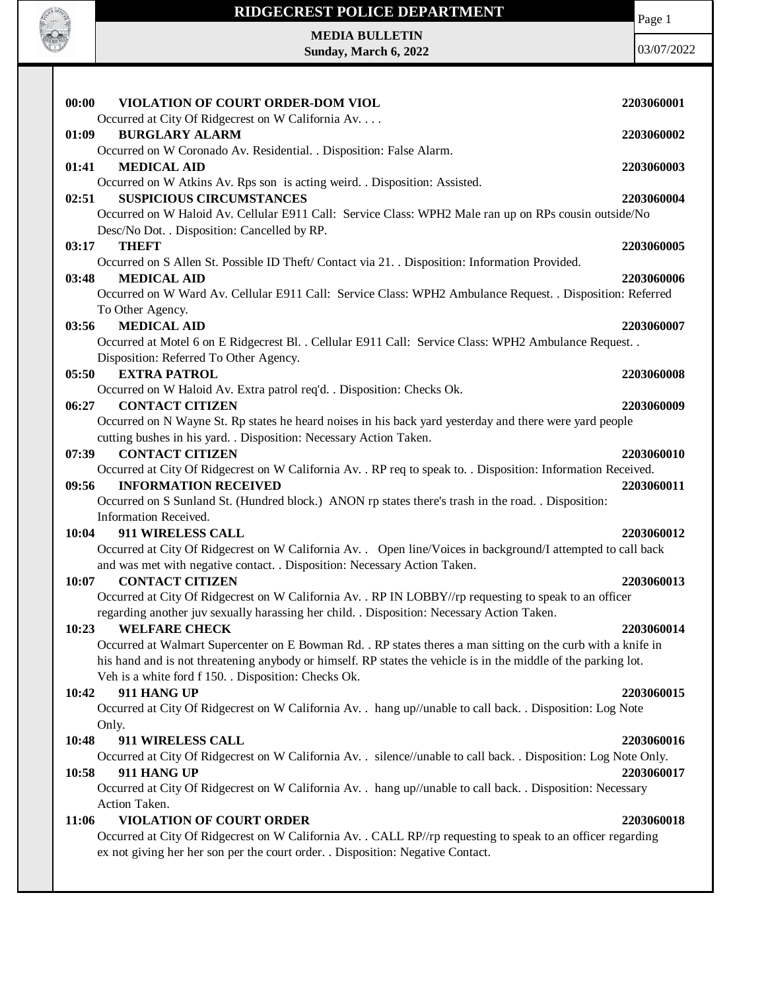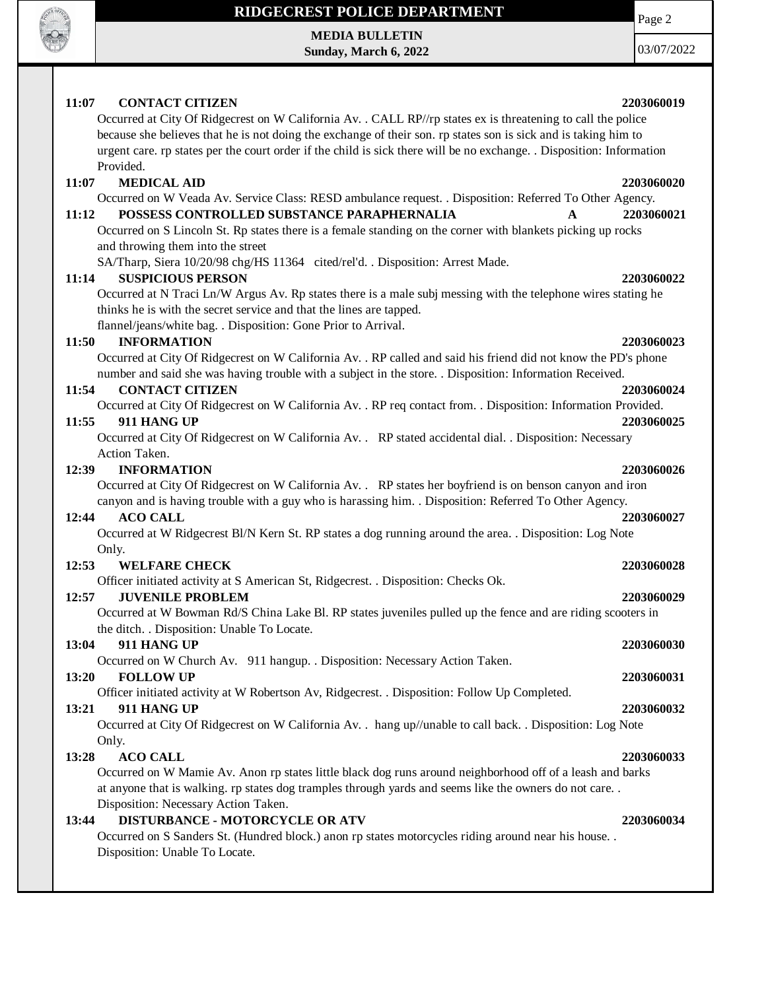

## **RIDGECREST POLICE DEPARTMENT**

**MEDIA BULLETIN Sunday, March 6, 2022** Page 2

03/07/2022

| 11:07<br><b>CONTACT CITIZEN</b><br>2203060019<br>Occurred at City Of Ridgecrest on W California Av. . CALL RP//rp states ex is threatening to call the police<br>because she believes that he is not doing the exchange of their son. rp states son is sick and is taking him to<br>urgent care. rp states per the court order if the child is sick there will be no exchange. Disposition: Information<br>Provided.<br><b>MEDICAL AID</b><br>11:07<br>2203060020<br>Occurred on W Veada Av. Service Class: RESD ambulance request. . Disposition: Referred To Other Agency.<br>POSSESS CONTROLLED SUBSTANCE PARAPHERNALIA<br>11:12<br>2203060021<br>A<br>Occurred on S Lincoln St. Rp states there is a female standing on the corner with blankets picking up rocks<br>and throwing them into the street<br>SA/Tharp, Siera 10/20/98 chg/HS 11364 cited/rel'd. . Disposition: Arrest Made.<br><b>SUSPICIOUS PERSON</b><br>11:14<br>2203060022<br>Occurred at N Traci Ln/W Argus Av. Rp states there is a male subj messing with the telephone wires stating he<br>thinks he is with the secret service and that the lines are tapped.<br>flannel/jeans/white bag. . Disposition: Gone Prior to Arrival.<br><b>INFORMATION</b><br>11:50<br>2203060023<br>Occurred at City Of Ridgecrest on W California Av. . RP called and said his friend did not know the PD's phone<br>number and said she was having trouble with a subject in the store. . Disposition: Information Received.<br><b>CONTACT CITIZEN</b><br>11:54<br>2203060024<br>Occurred at City Of Ridgecrest on W California Av. . RP req contact from. . Disposition: Information Provided.<br>11:55<br>911 HANG UP<br>2203060025<br>Occurred at City Of Ridgecrest on W California Av. . RP stated accidental dial. . Disposition: Necessary<br>Action Taken.<br>12:39<br><b>INFORMATION</b><br>2203060026<br>Occurred at City Of Ridgecrest on W California Av. . RP states her boyfriend is on benson canyon and iron<br>canyon and is having trouble with a guy who is harassing him. . Disposition: Referred To Other Agency.<br><b>ACO CALL</b><br>12:44<br>2203060027<br>Occurred at W Ridgecrest Bl/N Kern St. RP states a dog running around the area. . Disposition: Log Note<br>Only.<br>12:53<br><b>WELFARE CHECK</b><br>2203060028<br>Officer initiated activity at S American St, Ridgecrest. . Disposition: Checks Ok.<br><b>JUVENILE PROBLEM</b><br>12:57<br>2203060029<br>Occurred at W Bowman Rd/S China Lake Bl. RP states juveniles pulled up the fence and are riding scooters in<br>the ditch. . Disposition: Unable To Locate.<br><b>911 HANG UP</b><br>2203060030<br>13:04<br>Occurred on W Church Av. 911 hangup. . Disposition: Necessary Action Taken.<br>13:20<br><b>FOLLOW UP</b><br>2203060031<br>Officer initiated activity at W Robertson Av, Ridgecrest. . Disposition: Follow Up Completed.<br>911 HANG UP<br>13:21<br>2203060032<br>Occurred at City Of Ridgecrest on W California Av. . hang up//unable to call back. . Disposition: Log Note<br>Only.<br><b>ACO CALL</b><br>13:28<br>2203060033<br>Occurred on W Mamie Av. Anon rp states little black dog runs around neighborhood off of a leash and barks<br>at anyone that is walking. rp states dog tramples through yards and seems like the owners do not care<br>Disposition: Necessary Action Taken.<br><b>DISTURBANCE - MOTORCYCLE OR ATV</b><br>13:44<br>2203060034 |
|---------------------------------------------------------------------------------------------------------------------------------------------------------------------------------------------------------------------------------------------------------------------------------------------------------------------------------------------------------------------------------------------------------------------------------------------------------------------------------------------------------------------------------------------------------------------------------------------------------------------------------------------------------------------------------------------------------------------------------------------------------------------------------------------------------------------------------------------------------------------------------------------------------------------------------------------------------------------------------------------------------------------------------------------------------------------------------------------------------------------------------------------------------------------------------------------------------------------------------------------------------------------------------------------------------------------------------------------------------------------------------------------------------------------------------------------------------------------------------------------------------------------------------------------------------------------------------------------------------------------------------------------------------------------------------------------------------------------------------------------------------------------------------------------------------------------------------------------------------------------------------------------------------------------------------------------------------------------------------------------------------------------------------------------------------------------------------------------------------------------------------------------------------------------------------------------------------------------------------------------------------------------------------------------------------------------------------------------------------------------------------------------------------------------------------------------------------------------------------------------------------------------------------------------------------------------------------------------------------------------------------------------------------------------------------------------------------------------------------------------------------------------------------------------------------------------------------------------------------------------------------------------------------------------------------------------------------------------------------------------------------------------------------------------------------------------------------------------------------------------------------------------------------------------------------------------------------------------------------------------------------------------------------------------------------------------------------------------------------------------------------------------------------------------------------|
|                                                                                                                                                                                                                                                                                                                                                                                                                                                                                                                                                                                                                                                                                                                                                                                                                                                                                                                                                                                                                                                                                                                                                                                                                                                                                                                                                                                                                                                                                                                                                                                                                                                                                                                                                                                                                                                                                                                                                                                                                                                                                                                                                                                                                                                                                                                                                                                                                                                                                                                                                                                                                                                                                                                                                                                                                                                                                                                                                                                                                                                                                                                                                                                                                                                                                                                                                                                                                                 |
|                                                                                                                                                                                                                                                                                                                                                                                                                                                                                                                                                                                                                                                                                                                                                                                                                                                                                                                                                                                                                                                                                                                                                                                                                                                                                                                                                                                                                                                                                                                                                                                                                                                                                                                                                                                                                                                                                                                                                                                                                                                                                                                                                                                                                                                                                                                                                                                                                                                                                                                                                                                                                                                                                                                                                                                                                                                                                                                                                                                                                                                                                                                                                                                                                                                                                                                                                                                                                                 |
|                                                                                                                                                                                                                                                                                                                                                                                                                                                                                                                                                                                                                                                                                                                                                                                                                                                                                                                                                                                                                                                                                                                                                                                                                                                                                                                                                                                                                                                                                                                                                                                                                                                                                                                                                                                                                                                                                                                                                                                                                                                                                                                                                                                                                                                                                                                                                                                                                                                                                                                                                                                                                                                                                                                                                                                                                                                                                                                                                                                                                                                                                                                                                                                                                                                                                                                                                                                                                                 |
|                                                                                                                                                                                                                                                                                                                                                                                                                                                                                                                                                                                                                                                                                                                                                                                                                                                                                                                                                                                                                                                                                                                                                                                                                                                                                                                                                                                                                                                                                                                                                                                                                                                                                                                                                                                                                                                                                                                                                                                                                                                                                                                                                                                                                                                                                                                                                                                                                                                                                                                                                                                                                                                                                                                                                                                                                                                                                                                                                                                                                                                                                                                                                                                                                                                                                                                                                                                                                                 |
|                                                                                                                                                                                                                                                                                                                                                                                                                                                                                                                                                                                                                                                                                                                                                                                                                                                                                                                                                                                                                                                                                                                                                                                                                                                                                                                                                                                                                                                                                                                                                                                                                                                                                                                                                                                                                                                                                                                                                                                                                                                                                                                                                                                                                                                                                                                                                                                                                                                                                                                                                                                                                                                                                                                                                                                                                                                                                                                                                                                                                                                                                                                                                                                                                                                                                                                                                                                                                                 |
|                                                                                                                                                                                                                                                                                                                                                                                                                                                                                                                                                                                                                                                                                                                                                                                                                                                                                                                                                                                                                                                                                                                                                                                                                                                                                                                                                                                                                                                                                                                                                                                                                                                                                                                                                                                                                                                                                                                                                                                                                                                                                                                                                                                                                                                                                                                                                                                                                                                                                                                                                                                                                                                                                                                                                                                                                                                                                                                                                                                                                                                                                                                                                                                                                                                                                                                                                                                                                                 |
|                                                                                                                                                                                                                                                                                                                                                                                                                                                                                                                                                                                                                                                                                                                                                                                                                                                                                                                                                                                                                                                                                                                                                                                                                                                                                                                                                                                                                                                                                                                                                                                                                                                                                                                                                                                                                                                                                                                                                                                                                                                                                                                                                                                                                                                                                                                                                                                                                                                                                                                                                                                                                                                                                                                                                                                                                                                                                                                                                                                                                                                                                                                                                                                                                                                                                                                                                                                                                                 |
|                                                                                                                                                                                                                                                                                                                                                                                                                                                                                                                                                                                                                                                                                                                                                                                                                                                                                                                                                                                                                                                                                                                                                                                                                                                                                                                                                                                                                                                                                                                                                                                                                                                                                                                                                                                                                                                                                                                                                                                                                                                                                                                                                                                                                                                                                                                                                                                                                                                                                                                                                                                                                                                                                                                                                                                                                                                                                                                                                                                                                                                                                                                                                                                                                                                                                                                                                                                                                                 |
|                                                                                                                                                                                                                                                                                                                                                                                                                                                                                                                                                                                                                                                                                                                                                                                                                                                                                                                                                                                                                                                                                                                                                                                                                                                                                                                                                                                                                                                                                                                                                                                                                                                                                                                                                                                                                                                                                                                                                                                                                                                                                                                                                                                                                                                                                                                                                                                                                                                                                                                                                                                                                                                                                                                                                                                                                                                                                                                                                                                                                                                                                                                                                                                                                                                                                                                                                                                                                                 |
|                                                                                                                                                                                                                                                                                                                                                                                                                                                                                                                                                                                                                                                                                                                                                                                                                                                                                                                                                                                                                                                                                                                                                                                                                                                                                                                                                                                                                                                                                                                                                                                                                                                                                                                                                                                                                                                                                                                                                                                                                                                                                                                                                                                                                                                                                                                                                                                                                                                                                                                                                                                                                                                                                                                                                                                                                                                                                                                                                                                                                                                                                                                                                                                                                                                                                                                                                                                                                                 |
|                                                                                                                                                                                                                                                                                                                                                                                                                                                                                                                                                                                                                                                                                                                                                                                                                                                                                                                                                                                                                                                                                                                                                                                                                                                                                                                                                                                                                                                                                                                                                                                                                                                                                                                                                                                                                                                                                                                                                                                                                                                                                                                                                                                                                                                                                                                                                                                                                                                                                                                                                                                                                                                                                                                                                                                                                                                                                                                                                                                                                                                                                                                                                                                                                                                                                                                                                                                                                                 |
|                                                                                                                                                                                                                                                                                                                                                                                                                                                                                                                                                                                                                                                                                                                                                                                                                                                                                                                                                                                                                                                                                                                                                                                                                                                                                                                                                                                                                                                                                                                                                                                                                                                                                                                                                                                                                                                                                                                                                                                                                                                                                                                                                                                                                                                                                                                                                                                                                                                                                                                                                                                                                                                                                                                                                                                                                                                                                                                                                                                                                                                                                                                                                                                                                                                                                                                                                                                                                                 |
|                                                                                                                                                                                                                                                                                                                                                                                                                                                                                                                                                                                                                                                                                                                                                                                                                                                                                                                                                                                                                                                                                                                                                                                                                                                                                                                                                                                                                                                                                                                                                                                                                                                                                                                                                                                                                                                                                                                                                                                                                                                                                                                                                                                                                                                                                                                                                                                                                                                                                                                                                                                                                                                                                                                                                                                                                                                                                                                                                                                                                                                                                                                                                                                                                                                                                                                                                                                                                                 |
|                                                                                                                                                                                                                                                                                                                                                                                                                                                                                                                                                                                                                                                                                                                                                                                                                                                                                                                                                                                                                                                                                                                                                                                                                                                                                                                                                                                                                                                                                                                                                                                                                                                                                                                                                                                                                                                                                                                                                                                                                                                                                                                                                                                                                                                                                                                                                                                                                                                                                                                                                                                                                                                                                                                                                                                                                                                                                                                                                                                                                                                                                                                                                                                                                                                                                                                                                                                                                                 |
|                                                                                                                                                                                                                                                                                                                                                                                                                                                                                                                                                                                                                                                                                                                                                                                                                                                                                                                                                                                                                                                                                                                                                                                                                                                                                                                                                                                                                                                                                                                                                                                                                                                                                                                                                                                                                                                                                                                                                                                                                                                                                                                                                                                                                                                                                                                                                                                                                                                                                                                                                                                                                                                                                                                                                                                                                                                                                                                                                                                                                                                                                                                                                                                                                                                                                                                                                                                                                                 |
|                                                                                                                                                                                                                                                                                                                                                                                                                                                                                                                                                                                                                                                                                                                                                                                                                                                                                                                                                                                                                                                                                                                                                                                                                                                                                                                                                                                                                                                                                                                                                                                                                                                                                                                                                                                                                                                                                                                                                                                                                                                                                                                                                                                                                                                                                                                                                                                                                                                                                                                                                                                                                                                                                                                                                                                                                                                                                                                                                                                                                                                                                                                                                                                                                                                                                                                                                                                                                                 |
|                                                                                                                                                                                                                                                                                                                                                                                                                                                                                                                                                                                                                                                                                                                                                                                                                                                                                                                                                                                                                                                                                                                                                                                                                                                                                                                                                                                                                                                                                                                                                                                                                                                                                                                                                                                                                                                                                                                                                                                                                                                                                                                                                                                                                                                                                                                                                                                                                                                                                                                                                                                                                                                                                                                                                                                                                                                                                                                                                                                                                                                                                                                                                                                                                                                                                                                                                                                                                                 |
|                                                                                                                                                                                                                                                                                                                                                                                                                                                                                                                                                                                                                                                                                                                                                                                                                                                                                                                                                                                                                                                                                                                                                                                                                                                                                                                                                                                                                                                                                                                                                                                                                                                                                                                                                                                                                                                                                                                                                                                                                                                                                                                                                                                                                                                                                                                                                                                                                                                                                                                                                                                                                                                                                                                                                                                                                                                                                                                                                                                                                                                                                                                                                                                                                                                                                                                                                                                                                                 |
|                                                                                                                                                                                                                                                                                                                                                                                                                                                                                                                                                                                                                                                                                                                                                                                                                                                                                                                                                                                                                                                                                                                                                                                                                                                                                                                                                                                                                                                                                                                                                                                                                                                                                                                                                                                                                                                                                                                                                                                                                                                                                                                                                                                                                                                                                                                                                                                                                                                                                                                                                                                                                                                                                                                                                                                                                                                                                                                                                                                                                                                                                                                                                                                                                                                                                                                                                                                                                                 |
|                                                                                                                                                                                                                                                                                                                                                                                                                                                                                                                                                                                                                                                                                                                                                                                                                                                                                                                                                                                                                                                                                                                                                                                                                                                                                                                                                                                                                                                                                                                                                                                                                                                                                                                                                                                                                                                                                                                                                                                                                                                                                                                                                                                                                                                                                                                                                                                                                                                                                                                                                                                                                                                                                                                                                                                                                                                                                                                                                                                                                                                                                                                                                                                                                                                                                                                                                                                                                                 |
|                                                                                                                                                                                                                                                                                                                                                                                                                                                                                                                                                                                                                                                                                                                                                                                                                                                                                                                                                                                                                                                                                                                                                                                                                                                                                                                                                                                                                                                                                                                                                                                                                                                                                                                                                                                                                                                                                                                                                                                                                                                                                                                                                                                                                                                                                                                                                                                                                                                                                                                                                                                                                                                                                                                                                                                                                                                                                                                                                                                                                                                                                                                                                                                                                                                                                                                                                                                                                                 |
|                                                                                                                                                                                                                                                                                                                                                                                                                                                                                                                                                                                                                                                                                                                                                                                                                                                                                                                                                                                                                                                                                                                                                                                                                                                                                                                                                                                                                                                                                                                                                                                                                                                                                                                                                                                                                                                                                                                                                                                                                                                                                                                                                                                                                                                                                                                                                                                                                                                                                                                                                                                                                                                                                                                                                                                                                                                                                                                                                                                                                                                                                                                                                                                                                                                                                                                                                                                                                                 |
|                                                                                                                                                                                                                                                                                                                                                                                                                                                                                                                                                                                                                                                                                                                                                                                                                                                                                                                                                                                                                                                                                                                                                                                                                                                                                                                                                                                                                                                                                                                                                                                                                                                                                                                                                                                                                                                                                                                                                                                                                                                                                                                                                                                                                                                                                                                                                                                                                                                                                                                                                                                                                                                                                                                                                                                                                                                                                                                                                                                                                                                                                                                                                                                                                                                                                                                                                                                                                                 |
|                                                                                                                                                                                                                                                                                                                                                                                                                                                                                                                                                                                                                                                                                                                                                                                                                                                                                                                                                                                                                                                                                                                                                                                                                                                                                                                                                                                                                                                                                                                                                                                                                                                                                                                                                                                                                                                                                                                                                                                                                                                                                                                                                                                                                                                                                                                                                                                                                                                                                                                                                                                                                                                                                                                                                                                                                                                                                                                                                                                                                                                                                                                                                                                                                                                                                                                                                                                                                                 |
|                                                                                                                                                                                                                                                                                                                                                                                                                                                                                                                                                                                                                                                                                                                                                                                                                                                                                                                                                                                                                                                                                                                                                                                                                                                                                                                                                                                                                                                                                                                                                                                                                                                                                                                                                                                                                                                                                                                                                                                                                                                                                                                                                                                                                                                                                                                                                                                                                                                                                                                                                                                                                                                                                                                                                                                                                                                                                                                                                                                                                                                                                                                                                                                                                                                                                                                                                                                                                                 |
|                                                                                                                                                                                                                                                                                                                                                                                                                                                                                                                                                                                                                                                                                                                                                                                                                                                                                                                                                                                                                                                                                                                                                                                                                                                                                                                                                                                                                                                                                                                                                                                                                                                                                                                                                                                                                                                                                                                                                                                                                                                                                                                                                                                                                                                                                                                                                                                                                                                                                                                                                                                                                                                                                                                                                                                                                                                                                                                                                                                                                                                                                                                                                                                                                                                                                                                                                                                                                                 |
|                                                                                                                                                                                                                                                                                                                                                                                                                                                                                                                                                                                                                                                                                                                                                                                                                                                                                                                                                                                                                                                                                                                                                                                                                                                                                                                                                                                                                                                                                                                                                                                                                                                                                                                                                                                                                                                                                                                                                                                                                                                                                                                                                                                                                                                                                                                                                                                                                                                                                                                                                                                                                                                                                                                                                                                                                                                                                                                                                                                                                                                                                                                                                                                                                                                                                                                                                                                                                                 |
|                                                                                                                                                                                                                                                                                                                                                                                                                                                                                                                                                                                                                                                                                                                                                                                                                                                                                                                                                                                                                                                                                                                                                                                                                                                                                                                                                                                                                                                                                                                                                                                                                                                                                                                                                                                                                                                                                                                                                                                                                                                                                                                                                                                                                                                                                                                                                                                                                                                                                                                                                                                                                                                                                                                                                                                                                                                                                                                                                                                                                                                                                                                                                                                                                                                                                                                                                                                                                                 |
|                                                                                                                                                                                                                                                                                                                                                                                                                                                                                                                                                                                                                                                                                                                                                                                                                                                                                                                                                                                                                                                                                                                                                                                                                                                                                                                                                                                                                                                                                                                                                                                                                                                                                                                                                                                                                                                                                                                                                                                                                                                                                                                                                                                                                                                                                                                                                                                                                                                                                                                                                                                                                                                                                                                                                                                                                                                                                                                                                                                                                                                                                                                                                                                                                                                                                                                                                                                                                                 |
|                                                                                                                                                                                                                                                                                                                                                                                                                                                                                                                                                                                                                                                                                                                                                                                                                                                                                                                                                                                                                                                                                                                                                                                                                                                                                                                                                                                                                                                                                                                                                                                                                                                                                                                                                                                                                                                                                                                                                                                                                                                                                                                                                                                                                                                                                                                                                                                                                                                                                                                                                                                                                                                                                                                                                                                                                                                                                                                                                                                                                                                                                                                                                                                                                                                                                                                                                                                                                                 |
|                                                                                                                                                                                                                                                                                                                                                                                                                                                                                                                                                                                                                                                                                                                                                                                                                                                                                                                                                                                                                                                                                                                                                                                                                                                                                                                                                                                                                                                                                                                                                                                                                                                                                                                                                                                                                                                                                                                                                                                                                                                                                                                                                                                                                                                                                                                                                                                                                                                                                                                                                                                                                                                                                                                                                                                                                                                                                                                                                                                                                                                                                                                                                                                                                                                                                                                                                                                                                                 |
|                                                                                                                                                                                                                                                                                                                                                                                                                                                                                                                                                                                                                                                                                                                                                                                                                                                                                                                                                                                                                                                                                                                                                                                                                                                                                                                                                                                                                                                                                                                                                                                                                                                                                                                                                                                                                                                                                                                                                                                                                                                                                                                                                                                                                                                                                                                                                                                                                                                                                                                                                                                                                                                                                                                                                                                                                                                                                                                                                                                                                                                                                                                                                                                                                                                                                                                                                                                                                                 |
|                                                                                                                                                                                                                                                                                                                                                                                                                                                                                                                                                                                                                                                                                                                                                                                                                                                                                                                                                                                                                                                                                                                                                                                                                                                                                                                                                                                                                                                                                                                                                                                                                                                                                                                                                                                                                                                                                                                                                                                                                                                                                                                                                                                                                                                                                                                                                                                                                                                                                                                                                                                                                                                                                                                                                                                                                                                                                                                                                                                                                                                                                                                                                                                                                                                                                                                                                                                                                                 |
|                                                                                                                                                                                                                                                                                                                                                                                                                                                                                                                                                                                                                                                                                                                                                                                                                                                                                                                                                                                                                                                                                                                                                                                                                                                                                                                                                                                                                                                                                                                                                                                                                                                                                                                                                                                                                                                                                                                                                                                                                                                                                                                                                                                                                                                                                                                                                                                                                                                                                                                                                                                                                                                                                                                                                                                                                                                                                                                                                                                                                                                                                                                                                                                                                                                                                                                                                                                                                                 |
|                                                                                                                                                                                                                                                                                                                                                                                                                                                                                                                                                                                                                                                                                                                                                                                                                                                                                                                                                                                                                                                                                                                                                                                                                                                                                                                                                                                                                                                                                                                                                                                                                                                                                                                                                                                                                                                                                                                                                                                                                                                                                                                                                                                                                                                                                                                                                                                                                                                                                                                                                                                                                                                                                                                                                                                                                                                                                                                                                                                                                                                                                                                                                                                                                                                                                                                                                                                                                                 |
|                                                                                                                                                                                                                                                                                                                                                                                                                                                                                                                                                                                                                                                                                                                                                                                                                                                                                                                                                                                                                                                                                                                                                                                                                                                                                                                                                                                                                                                                                                                                                                                                                                                                                                                                                                                                                                                                                                                                                                                                                                                                                                                                                                                                                                                                                                                                                                                                                                                                                                                                                                                                                                                                                                                                                                                                                                                                                                                                                                                                                                                                                                                                                                                                                                                                                                                                                                                                                                 |
|                                                                                                                                                                                                                                                                                                                                                                                                                                                                                                                                                                                                                                                                                                                                                                                                                                                                                                                                                                                                                                                                                                                                                                                                                                                                                                                                                                                                                                                                                                                                                                                                                                                                                                                                                                                                                                                                                                                                                                                                                                                                                                                                                                                                                                                                                                                                                                                                                                                                                                                                                                                                                                                                                                                                                                                                                                                                                                                                                                                                                                                                                                                                                                                                                                                                                                                                                                                                                                 |
|                                                                                                                                                                                                                                                                                                                                                                                                                                                                                                                                                                                                                                                                                                                                                                                                                                                                                                                                                                                                                                                                                                                                                                                                                                                                                                                                                                                                                                                                                                                                                                                                                                                                                                                                                                                                                                                                                                                                                                                                                                                                                                                                                                                                                                                                                                                                                                                                                                                                                                                                                                                                                                                                                                                                                                                                                                                                                                                                                                                                                                                                                                                                                                                                                                                                                                                                                                                                                                 |
|                                                                                                                                                                                                                                                                                                                                                                                                                                                                                                                                                                                                                                                                                                                                                                                                                                                                                                                                                                                                                                                                                                                                                                                                                                                                                                                                                                                                                                                                                                                                                                                                                                                                                                                                                                                                                                                                                                                                                                                                                                                                                                                                                                                                                                                                                                                                                                                                                                                                                                                                                                                                                                                                                                                                                                                                                                                                                                                                                                                                                                                                                                                                                                                                                                                                                                                                                                                                                                 |
|                                                                                                                                                                                                                                                                                                                                                                                                                                                                                                                                                                                                                                                                                                                                                                                                                                                                                                                                                                                                                                                                                                                                                                                                                                                                                                                                                                                                                                                                                                                                                                                                                                                                                                                                                                                                                                                                                                                                                                                                                                                                                                                                                                                                                                                                                                                                                                                                                                                                                                                                                                                                                                                                                                                                                                                                                                                                                                                                                                                                                                                                                                                                                                                                                                                                                                                                                                                                                                 |
|                                                                                                                                                                                                                                                                                                                                                                                                                                                                                                                                                                                                                                                                                                                                                                                                                                                                                                                                                                                                                                                                                                                                                                                                                                                                                                                                                                                                                                                                                                                                                                                                                                                                                                                                                                                                                                                                                                                                                                                                                                                                                                                                                                                                                                                                                                                                                                                                                                                                                                                                                                                                                                                                                                                                                                                                                                                                                                                                                                                                                                                                                                                                                                                                                                                                                                                                                                                                                                 |
|                                                                                                                                                                                                                                                                                                                                                                                                                                                                                                                                                                                                                                                                                                                                                                                                                                                                                                                                                                                                                                                                                                                                                                                                                                                                                                                                                                                                                                                                                                                                                                                                                                                                                                                                                                                                                                                                                                                                                                                                                                                                                                                                                                                                                                                                                                                                                                                                                                                                                                                                                                                                                                                                                                                                                                                                                                                                                                                                                                                                                                                                                                                                                                                                                                                                                                                                                                                                                                 |
|                                                                                                                                                                                                                                                                                                                                                                                                                                                                                                                                                                                                                                                                                                                                                                                                                                                                                                                                                                                                                                                                                                                                                                                                                                                                                                                                                                                                                                                                                                                                                                                                                                                                                                                                                                                                                                                                                                                                                                                                                                                                                                                                                                                                                                                                                                                                                                                                                                                                                                                                                                                                                                                                                                                                                                                                                                                                                                                                                                                                                                                                                                                                                                                                                                                                                                                                                                                                                                 |
|                                                                                                                                                                                                                                                                                                                                                                                                                                                                                                                                                                                                                                                                                                                                                                                                                                                                                                                                                                                                                                                                                                                                                                                                                                                                                                                                                                                                                                                                                                                                                                                                                                                                                                                                                                                                                                                                                                                                                                                                                                                                                                                                                                                                                                                                                                                                                                                                                                                                                                                                                                                                                                                                                                                                                                                                                                                                                                                                                                                                                                                                                                                                                                                                                                                                                                                                                                                                                                 |
|                                                                                                                                                                                                                                                                                                                                                                                                                                                                                                                                                                                                                                                                                                                                                                                                                                                                                                                                                                                                                                                                                                                                                                                                                                                                                                                                                                                                                                                                                                                                                                                                                                                                                                                                                                                                                                                                                                                                                                                                                                                                                                                                                                                                                                                                                                                                                                                                                                                                                                                                                                                                                                                                                                                                                                                                                                                                                                                                                                                                                                                                                                                                                                                                                                                                                                                                                                                                                                 |
| Occurred on S Sanders St. (Hundred block.) anon rp states motorcycles riding around near his house. .                                                                                                                                                                                                                                                                                                                                                                                                                                                                                                                                                                                                                                                                                                                                                                                                                                                                                                                                                                                                                                                                                                                                                                                                                                                                                                                                                                                                                                                                                                                                                                                                                                                                                                                                                                                                                                                                                                                                                                                                                                                                                                                                                                                                                                                                                                                                                                                                                                                                                                                                                                                                                                                                                                                                                                                                                                                                                                                                                                                                                                                                                                                                                                                                                                                                                                                           |
| Disposition: Unable To Locate.                                                                                                                                                                                                                                                                                                                                                                                                                                                                                                                                                                                                                                                                                                                                                                                                                                                                                                                                                                                                                                                                                                                                                                                                                                                                                                                                                                                                                                                                                                                                                                                                                                                                                                                                                                                                                                                                                                                                                                                                                                                                                                                                                                                                                                                                                                                                                                                                                                                                                                                                                                                                                                                                                                                                                                                                                                                                                                                                                                                                                                                                                                                                                                                                                                                                                                                                                                                                  |
|                                                                                                                                                                                                                                                                                                                                                                                                                                                                                                                                                                                                                                                                                                                                                                                                                                                                                                                                                                                                                                                                                                                                                                                                                                                                                                                                                                                                                                                                                                                                                                                                                                                                                                                                                                                                                                                                                                                                                                                                                                                                                                                                                                                                                                                                                                                                                                                                                                                                                                                                                                                                                                                                                                                                                                                                                                                                                                                                                                                                                                                                                                                                                                                                                                                                                                                                                                                                                                 |
|                                                                                                                                                                                                                                                                                                                                                                                                                                                                                                                                                                                                                                                                                                                                                                                                                                                                                                                                                                                                                                                                                                                                                                                                                                                                                                                                                                                                                                                                                                                                                                                                                                                                                                                                                                                                                                                                                                                                                                                                                                                                                                                                                                                                                                                                                                                                                                                                                                                                                                                                                                                                                                                                                                                                                                                                                                                                                                                                                                                                                                                                                                                                                                                                                                                                                                                                                                                                                                 |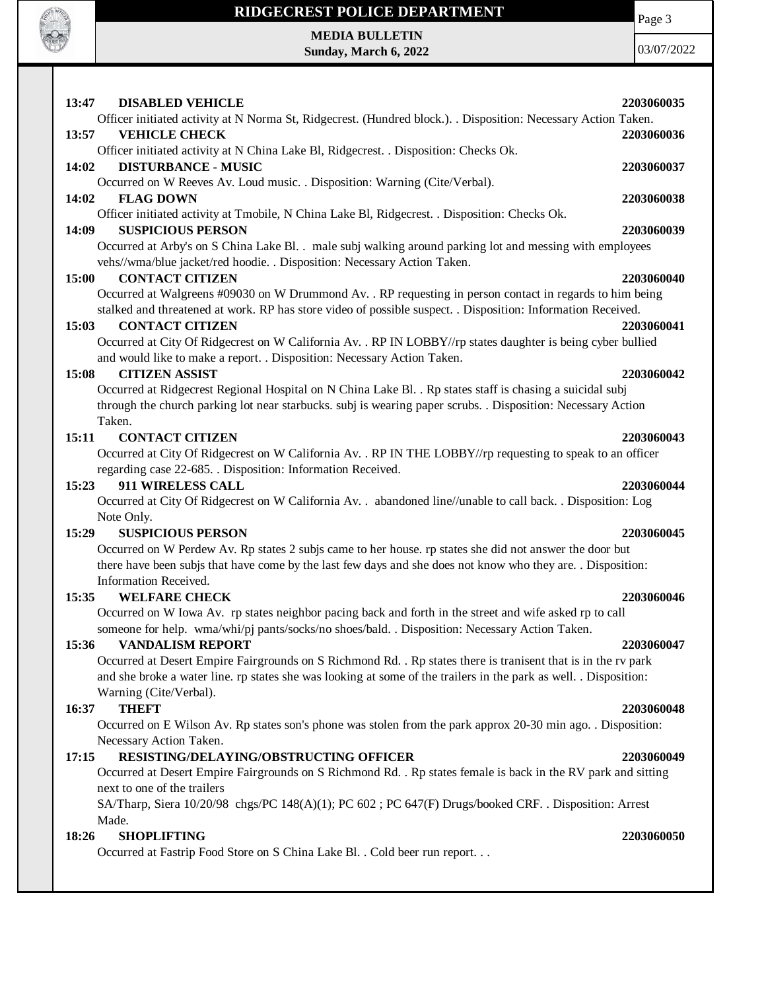

Page 3

03/07/2022

| 13:47 | <b>DISABLED VEHICLE</b>                                                                                                                                                                                 | 2203060035 |
|-------|---------------------------------------------------------------------------------------------------------------------------------------------------------------------------------------------------------|------------|
|       | Officer initiated activity at N Norma St, Ridgecrest. (Hundred block.). . Disposition: Necessary Action Taken.                                                                                          |            |
| 13:57 | <b>VEHICLE CHECK</b>                                                                                                                                                                                    | 2203060036 |
|       | Officer initiated activity at N China Lake Bl, Ridgecrest. . Disposition: Checks Ok.                                                                                                                    |            |
| 14:02 | <b>DISTURBANCE - MUSIC</b>                                                                                                                                                                              | 2203060037 |
|       | Occurred on W Reeves Av. Loud music. . Disposition: Warning (Cite/Verbal).                                                                                                                              |            |
| 14:02 | <b>FLAG DOWN</b>                                                                                                                                                                                        | 2203060038 |
|       | Officer initiated activity at Tmobile, N China Lake Bl, Ridgecrest. . Disposition: Checks Ok.                                                                                                           |            |
| 14:09 | <b>SUSPICIOUS PERSON</b>                                                                                                                                                                                | 2203060039 |
|       | Occurred at Arby's on S China Lake Bl. . male subj walking around parking lot and messing with employees                                                                                                |            |
|       | vehs//wma/blue jacket/red hoodie. . Disposition: Necessary Action Taken.<br><b>CONTACT CITIZEN</b>                                                                                                      |            |
| 15:00 | Occurred at Walgreens #09030 on W Drummond Av. . RP requesting in person contact in regards to him being                                                                                                | 2203060040 |
|       | stalked and threatened at work. RP has store video of possible suspect. . Disposition: Information Received.                                                                                            |            |
| 15:03 | <b>CONTACT CITIZEN</b>                                                                                                                                                                                  | 2203060041 |
|       | Occurred at City Of Ridgecrest on W California Av. . RP IN LOBBY//rp states daughter is being cyber bullied                                                                                             |            |
|       | and would like to make a report. . Disposition: Necessary Action Taken.                                                                                                                                 |            |
| 15:08 | <b>CITIZEN ASSIST</b>                                                                                                                                                                                   | 2203060042 |
|       | Occurred at Ridgecrest Regional Hospital on N China Lake Bl. . Rp states staff is chasing a suicidal subj                                                                                               |            |
|       | through the church parking lot near starbucks. subj is wearing paper scrubs. . Disposition: Necessary Action                                                                                            |            |
|       | Taken.                                                                                                                                                                                                  |            |
| 15:11 | <b>CONTACT CITIZEN</b>                                                                                                                                                                                  | 2203060043 |
|       | Occurred at City Of Ridgecrest on W California Av. . RP IN THE LOBBY//rp requesting to speak to an officer                                                                                              |            |
|       | regarding case 22-685. . Disposition: Information Received.                                                                                                                                             |            |
| 15:23 | 911 WIRELESS CALL                                                                                                                                                                                       | 2203060044 |
|       | Occurred at City Of Ridgecrest on W California Av. . abandoned line//unable to call back. . Disposition: Log                                                                                            |            |
|       | Note Only.                                                                                                                                                                                              |            |
| 15:29 | <b>SUSPICIOUS PERSON</b>                                                                                                                                                                                | 2203060045 |
|       | Occurred on W Perdew Av. Rp states 2 subjs came to her house. rp states she did not answer the door but                                                                                                 |            |
|       | there have been subjs that have come by the last few days and she does not know who they are. . Disposition:                                                                                            |            |
|       | Information Received.                                                                                                                                                                                   |            |
| 15:35 | <b>WELFARE CHECK</b>                                                                                                                                                                                    | 2203060046 |
|       | Occurred on W Iowa Av. rp states neighbor pacing back and forth in the street and wife asked rp to call<br>someone for help. wma/whi/pj pants/socks/no shoes/bald. Disposition: Necessary Action Taken. |            |
| 15:36 | <b>VANDALISM REPORT</b>                                                                                                                                                                                 | 2203060047 |
|       | Occurred at Desert Empire Fairgrounds on S Richmond Rd. . Rp states there is tranisent that is in the rv park                                                                                           |            |
|       | and she broke a water line. rp states she was looking at some of the trailers in the park as well. . Disposition:                                                                                       |            |
|       | Warning (Cite/Verbal).                                                                                                                                                                                  |            |
| 16:37 | <b>THEFT</b>                                                                                                                                                                                            | 2203060048 |
|       | Occurred on E Wilson Av. Rp states son's phone was stolen from the park approx 20-30 min ago. . Disposition:                                                                                            |            |
|       | Necessary Action Taken.                                                                                                                                                                                 |            |
| 17:15 | RESISTING/DELAYING/OBSTRUCTING OFFICER                                                                                                                                                                  | 2203060049 |
|       | Occurred at Desert Empire Fairgrounds on S Richmond Rd. . Rp states female is back in the RV park and sitting                                                                                           |            |
|       | next to one of the trailers                                                                                                                                                                             |            |
|       | SA/Tharp, Siera 10/20/98 chgs/PC 148(A)(1); PC 602; PC 647(F) Drugs/booked CRF. . Disposition: Arrest                                                                                                   |            |
|       | Made.                                                                                                                                                                                                   |            |
| 18:26 | <b>SHOPLIFTING</b>                                                                                                                                                                                      | 2203060050 |
|       | Occurred at Fastrip Food Store on S China Lake Bl. . Cold beer run report.                                                                                                                              |            |
|       |                                                                                                                                                                                                         |            |
|       |                                                                                                                                                                                                         |            |
|       |                                                                                                                                                                                                         |            |

**Sunday, March 6, 2022**